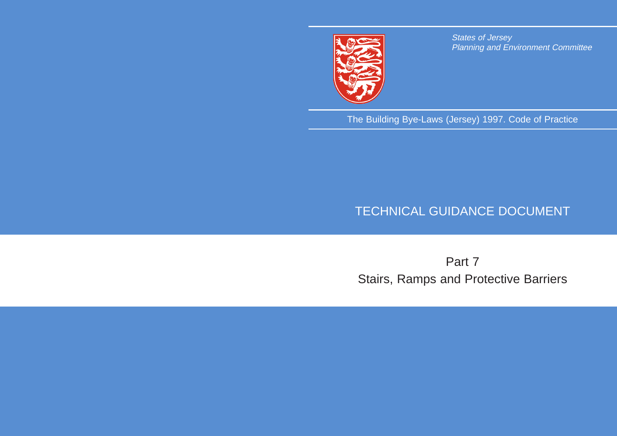

States of Jersey Planning and Environment Committee

The Building Bye-Laws (Jersey) 1997. Code of Practice

# TECHNICAL GUIDANCE DOCUMENT

# Part 7 Stairs, Ramps and Protective Barriers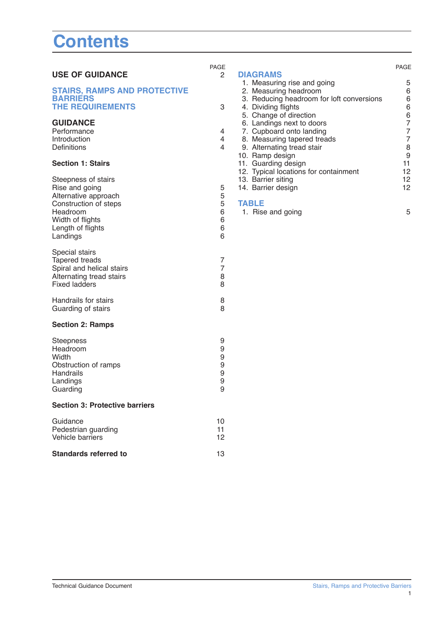## **Contents**

|                                                  | PAGE                |                                           | <b>PAGE</b>    |
|--------------------------------------------------|---------------------|-------------------------------------------|----------------|
| <b>USE OF GUIDANCE</b>                           | $\overline{2}$      | <b>DIAGRAMS</b>                           |                |
|                                                  |                     | 1. Measuring rise and going               | 5              |
| <b>STAIRS, RAMPS AND PROTECTIVE</b>              |                     | 2. Measuring headroom                     | 6              |
| <b>BARRIERS</b>                                  |                     | 3. Reducing headroom for loft conversions | 6              |
| <b>THE REQUIREMENTS</b>                          | 3                   | 4. Dividing flights                       | 6              |
|                                                  |                     | 5. Change of direction                    | 6              |
| <b>GUIDANCE</b>                                  |                     | 6. Landings next to doors                 | 7              |
| Performance                                      | 4                   | 7. Cupboard onto landing                  | 7              |
| Introduction                                     | 4                   | 8. Measuring tapered treads               | $\overline{7}$ |
| Definitions                                      | 4                   | 9. Alternating tread stair                | 8              |
|                                                  |                     | 10. Ramp design                           | 9              |
| <b>Section 1: Stairs</b>                         |                     | 11. Guarding design                       | 11             |
|                                                  |                     | 12. Typical locations for containment     | 12             |
| Steepness of stairs                              |                     | 13. Barrier siting                        | 12             |
| Rise and going                                   | 5                   | 14. Barrier design                        | 12             |
| Alternative approach                             | 5                   |                                           |                |
| Construction of steps                            | 5                   | <b>TABLE</b>                              |                |
| Headroom                                         | 6                   | 1. Rise and going                         | 5              |
| Width of flights                                 | 6                   |                                           |                |
| Length of flights                                | 6                   |                                           |                |
| Landings                                         | 6                   |                                           |                |
|                                                  |                     |                                           |                |
| Special stairs                                   |                     |                                           |                |
| <b>Tapered treads</b>                            | 7<br>$\overline{7}$ |                                           |                |
| Spiral and helical stairs                        |                     |                                           |                |
| Alternating tread stairs<br><b>Fixed ladders</b> | 8                   |                                           |                |
|                                                  | 8                   |                                           |                |
| Handrails for stairs                             | 8                   |                                           |                |
| Guarding of stairs                               | 8                   |                                           |                |
| <b>Section 2: Ramps</b>                          |                     |                                           |                |
|                                                  |                     |                                           |                |
| <b>Steepness</b>                                 | 9                   |                                           |                |
| Headroom                                         | 9                   |                                           |                |
| Width                                            | 9                   |                                           |                |
| Obstruction of ramps                             | 9                   |                                           |                |
| Handrails                                        | 9                   |                                           |                |
| Landings                                         | 9                   |                                           |                |
| Guarding                                         | $\mathsf{Q}$        |                                           |                |
| <b>Section 3: Protective barriers</b>            |                     |                                           |                |
|                                                  |                     |                                           |                |
| Guidance                                         | 10                  |                                           |                |
| Pedestrian guarding                              | 11                  |                                           |                |
| Vehicle barriers                                 | 12                  |                                           |                |
| <b>Standards referred to</b>                     | 13                  |                                           |                |

#### PAGE 1. Measuring rise and going **5** 5 2. Measuring headroom 6 3. Reducing headroom for loft conversions 6 4. Dividing flights 6 5. Change of direction 6 to doors Ianding ered treads 7<br>ad stair 18 externation of the stair state of the state state state state state state state state state state state state<br>and state state state state state state state state state state state state state state state state state state 10. Ramp design 9 11. Guarding design and the state of the 11 ns for containment 12<br>12 13. Barrier siting 12 14. Barrier design 12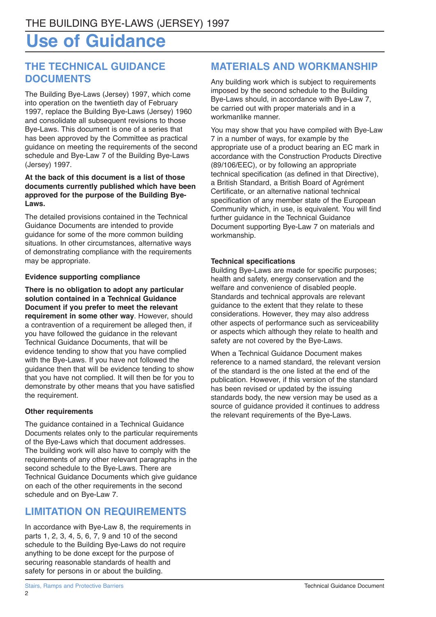## **Use of Guidance**

## **THE TECHNICAL GUIDANCE DOCUMENTS**

The Building Bye-Laws (Jersey) 1997, which come into operation on the twentieth day of February 1997, replace the Building Bye-Laws (Jersey) 1960 and consolidate all subsequent revisions to those Bye-Laws. This document is one of a series that has been approved by the Committee as practical guidance on meeting the requirements of the second schedule and Bye-Law 7 of the Building Bye-Laws (Jersey) 1997.

#### **At the back of this document is a list of those documents currently published which have been approved for the purpose of the Building Bye-Laws.**

The detailed provisions contained in the Technical Guidance Documents are intended to provide guidance for some of the more common building situations. In other circumstances, alternative ways of demonstrating compliance with the requirements may be appropriate.

#### **Evidence supporting compliance**

**There is no obligation to adopt any particular solution contained in a Technical Guidance Document if you prefer to meet the relevant requirement in some other way**. However, should a contravention of a requirement be alleged then, if you have followed the guidance in the relevant Technical Guidance Documents, that will be evidence tending to show that you have complied with the Bye-Laws. If you have not followed the guidance then that will be evidence tending to show that you have not complied. It will then be for you to demonstrate by other means that you have satisfied the requirement.

### **Other requirements**

The guidance contained in a Technical Guidance Documents relates only to the particular requirements of the Bye-Laws which that document addresses. The building work will also have to comply with the requirements of any other relevant paragraphs in the second schedule to the Bye-Laws. There are Technical Guidance Documents which give guidance on each of the other requirements in the second schedule and on Bye-Law 7.

## **LIMITATION ON REQUIREMENTS**

In accordance with Bye-Law 8, the requirements in parts 1, 2, 3, 4, 5, 6, 7, 9 and 10 of the second schedule to the Building Bye-Laws do not require anything to be done except for the purpose of securing reasonable standards of health and safety for persons in or about the building.

## **MATERIALS AND WORKMANSHIP**

Any building work which is subject to requirements imposed by the second schedule to the Building Bye-Laws should, in accordance with Bye-Law 7, be carried out with proper materials and in a workmanlike manner.

You may show that you have compiled with Bye-Law 7 in a number of ways, for example by the appropriate use of a product bearing an EC mark in accordance with the Construction Products Directive (89/106/EEC), or by following an appropriate technical specification (as defined in that Directive), a British Standard, a British Board of Agrément Certificate, or an alternative national technical specification of any member state of the European Community which, in use, is equivalent. You will find further guidance in the Technical Guidance Document supporting Bye-Law 7 on materials and workmanship.

#### **Technical specifications**

Building Bye-Laws are made for specific purposes; health and safety, energy conservation and the welfare and convenience of disabled people. Standards and technical approvals are relevant guidance to the extent that they relate to these considerations. However, they may also address other aspects of performance such as serviceability or aspects which although they relate to health and safety are not covered by the Bye-Laws.

When a Technical Guidance Document makes reference to a named standard, the relevant version of the standard is the one listed at the end of the publication. However, if this version of the standard has been revised or updated by the issuing standards body, the new version may be used as a source of guidance provided it continues to address the relevant requirements of the Bye-Laws.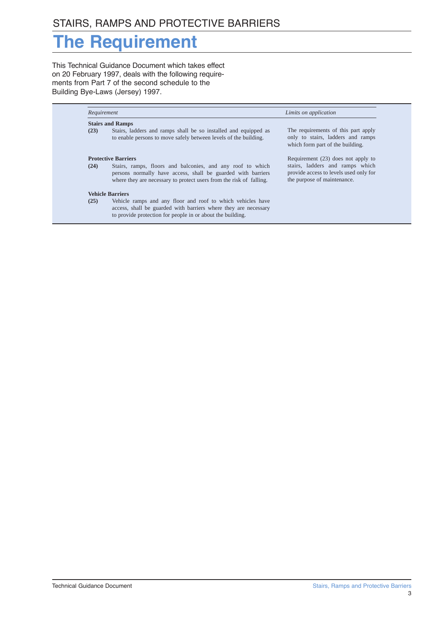# **The Requirement**

This Technical Guidance Document which takes effect on 20 February 1997, deals with the following requirements from Part 7 of the second schedule to the Building Bye-Laws (Jersey) 1997.

| Requirement                |                                                                                                                                                                                                   | Limits on application                                                                                        |  |  |  |
|----------------------------|---------------------------------------------------------------------------------------------------------------------------------------------------------------------------------------------------|--------------------------------------------------------------------------------------------------------------|--|--|--|
| <b>Stairs and Ramps</b>    |                                                                                                                                                                                                   |                                                                                                              |  |  |  |
| (23)                       | Stairs, ladders and ramps shall be so installed and equipped as<br>to enable persons to move safely between levels of the building.                                                               | The requirements of this part apply<br>only to stairs, ladders and ramps<br>which form part of the building. |  |  |  |
| <b>Protective Barriers</b> |                                                                                                                                                                                                   | Requirement (23) does not apply to                                                                           |  |  |  |
| (24)                       | Stairs, ramps, floors and balconies, and any roof to which<br>persons normally have access, shall be guarded with barriers<br>where they are necessary to protect users from the risk of falling. | stairs, ladders and ramps which<br>provide access to levels used only for<br>the purpose of maintenance.     |  |  |  |
|                            | <b>Vehicle Barriers</b>                                                                                                                                                                           |                                                                                                              |  |  |  |
| (25)                       | Vehicle ramps and any floor and roof to which vehicles have<br>access, shall be guarded with barriers where they are necessary<br>to provide protection for people in or about the building.      |                                                                                                              |  |  |  |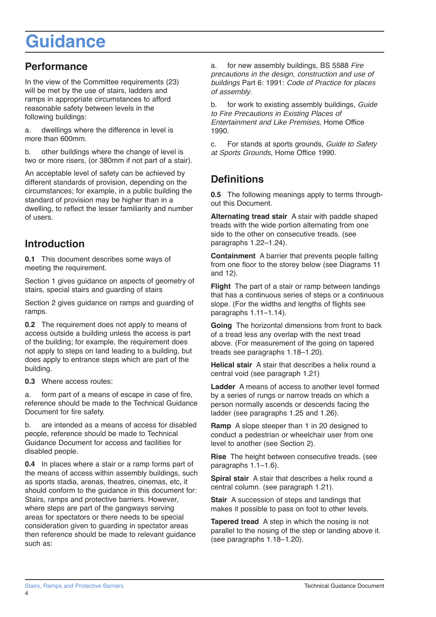# **Guidance**

## **Performance**

In the view of the Committee requirements (23) will be met by the use of stairs, ladders and ramps in appropriate circumstances to afford reasonable safety between levels in the following buildings:

a. dwellings where the difference in level is more than 600mm.

b. other buildings where the change of level is two or more risers, (or 380mm if not part of a stair).

An acceptable level of safety can be achieved by different standards of provision, depending on the circumstances; for example, in a public building the standard of provision may be higher than in a dwelling, to reflect the lesser familiarity and number of users.

## **Introduction**

**0.1** This document describes some ways of meeting the requirement.

Section 1 gives guidance on aspects of geometry of stairs, special stairs and guarding of stairs

Section 2 gives guidance on ramps and guarding of ramps.

**0.2** The requirement does not apply to means of access outside a building unless the access is part of the building; for example, the requirement does not apply to steps on land leading to a building, but does apply to entrance steps which are part of the building.

**0.3** Where access routes:

a. form part of a means of escape in case of fire, reference should be made to the Technical Guidance Document for fire safety.

b. are intended as a means of access for disabled people, reference should be made to Technical Guidance Document for access and facilities for disabled people.

**0.4** In places where a stair or a ramp forms part of the means of access within assembly buildings, such as sports stadia, arenas, theatres, cinemas, etc, it should conform to the guidance in this document for: Stairs, ramps and protective barriers. However, where steps are part of the gangways serving areas for spectators or there needs to be special consideration given to guarding in spectator areas then reference should be made to relevant guidance such as:

a. for new assembly buildings, BS 5588 Fire precautions in the design, construction and use of buildings Part 6: 1991: Code of Practice for places of assembly.

b. for work to existing assembly buildings, Guide to Fire Precautions in Existing Places of Entertainment and Like Premises, Home Office 1990.

c. For stands at sports grounds, Guide to Safety at Sports Grounds, Home Office 1990.

## **Definitions**

**0.5** The following meanings apply to terms throughout this Document.

**Alternating tread stair** A stair with paddle shaped treads with the wide portion alternating from one side to the other on consecutive treads. (see paragraphs 1.22–1.24).

**Containment** A barrier that prevents people falling from one floor to the storey below (see Diagrams 11 and 12).

**Flight** The part of a stair or ramp between landings that has a continuous series of steps or a continuous slope. (For the widths and lengths of flights see paragraphs 1.11–1.14).

**Going** The horizontal dimensions from front to back of a tread less any overlap with the next tread above. (For measurement of the going on tapered treads see paragraphs 1.18–1.20).

**Helical stair** A stair that describes a helix round a central void (see paragraph 1.21)

**Ladder** A means of access to another level formed by a series of rungs or narrow treads on which a person normally ascends or descends facing the ladder (see paragraphs 1.25 and 1.26).

**Ramp** A slope steeper than 1 in 20 designed to conduct a pedestrian or wheelchair user from one level to another (see Section 2).

**Rise** The height between consecutive treads. (see paragraphs 1.1–1.6).

**Spiral stair** A stair that describes a helix round a central column. (see paragraph 1.21).

**Stair** A succession of steps and landings that makes it possible to pass on foot to other levels.

**Tapered tread** A step in which the nosing is not parallel to the nosing of the step or landing above it. (see paragraphs 1.18–1.20).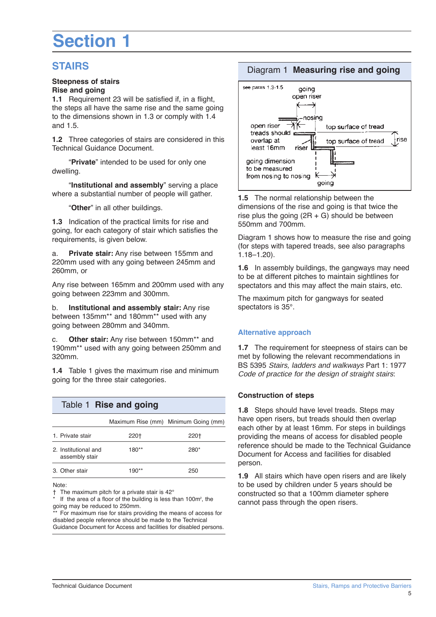# **Section 1**

### **STAIRS**

#### **Steepness of stairs Rise and going**

**1.1** Requirement 23 will be satisfied if, in a flight, the steps all have the same rise and the same going to the dimensions shown in 1.3 or comply with 1.4 and 1.5.

**1.2** Three categories of stairs are considered in this Technical Guidance Document.

"**Private**" intended to be used for only one dwelling.

"**Institutional and assembly**" serving a place where a substantial number of people will gather.

"**Other**" in all other buildings.

**1.3** Indication of the practical limits for rise and going, for each category of stair which satisfies the requirements, is given below.

**Private stair:** Any rise between 155mm and 220mm used with any going between 245mm and 260mm, or

Any rise between 165mm and 200mm used with any going between 223mm and 300mm.

b. **Institutional and assembly stair:** Any rise between 135mm\*\* and 180mm\*\* used with any going between 280mm and 340mm.

c. **Other stair:** Any rise between 150mm\*\* and 190mm\*\* used with any going between 250mm and 320mm.

**1.4** Table 1 gives the maximum rise and minimum going for the three stair categories.

| Table 1 Rise and going                 |         |                                      |  |  |  |  |
|----------------------------------------|---------|--------------------------------------|--|--|--|--|
|                                        |         | Maximum Rise (mm) Minimum Going (mm) |  |  |  |  |
| 1. Private stair                       | 220†    | 220†                                 |  |  |  |  |
| 2. Institutional and<br>assembly stair | $180**$ | $280*$                               |  |  |  |  |
| 3. Other stair                         | $190**$ | 250                                  |  |  |  |  |

Note:

† The maximum pitch for a private stair is 42°

 $*$  If the area of a floor of the building is less than 100 $m^2$ , the going may be reduced to 250mm.

\*\* For maximum rise for stairs providing the means of access for disabled people reference should be made to the Technical Guidance Document for Access and facilities for disabled persons.

#### Diagram 1 **Measuring rise and going**



**1.5** The normal relationship between the dimensions of the rise and going is that twice the rise plus the going  $(2R + G)$  should be between 550mm and 700mm.

Diagram 1 shows how to measure the rise and going (for steps with tapered treads, see also paragraphs 1.18–1.20).

**1.6** In assembly buildings, the gangways may need to be at different pitches to maintain sightlines for spectators and this may affect the main stairs, etc.

The maximum pitch for gangways for seated spectators is 35°.

#### **Alternative approach**

**1.7** The requirement for steepness of stairs can be met by following the relevant recommendations in BS 5395 Stairs, ladders and walkways Part 1: 1977 Code of practice for the design of straight stairs:

#### **Construction of steps**

**1.8** Steps should have level treads. Steps may have open risers, but treads should then overlap each other by at least 16mm. For steps in buildings providing the means of access for disabled people reference should be made to the Technical Guidance Document for Access and facilities for disabled person.

**1.9** All stairs which have open risers and are likely to be used by children under 5 years should be constructed so that a 100mm diameter sphere cannot pass through the open risers.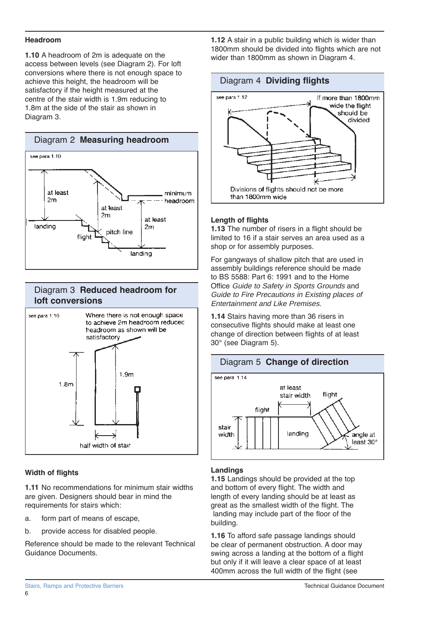#### **Headroom**

**1.10** A headroom of 2m is adequate on the access between levels (see Diagram 2). For loft conversions where there is not enough space to achieve this height, the headroom will be satisfactory if the height measured at the centre of the stair width is 1.9m reducing to 1.8m at the side of the stair as shown in Diagram 3.



#### Diagram 3 **Reduced headroom for loft conversions**



#### **Width of flights**

**1.11** No recommendations for minimum stair widths are given. Designers should bear in mind the requirements for stairs which:

- a. form part of means of escape,
- b. provide access for disabled people.

Reference should be made to the relevant Technical Guidance Documents.

**1.12** A stair in a public building which is wider than 1800mm should be divided into flights which are not wider than 1800mm as shown in Diagram 4.





#### **Length of flights**

**1.13** The number of risers in a flight should be limited to 16 if a stair serves an area used as a shop or for assembly purposes.

For gangways of shallow pitch that are used in assembly buildings reference should be made to BS 5588: Part 6: 1991 and to the Home Office Guide to Safety in Sports Grounds and Guide to Fire Precautions in Existing places of Entertainment and Like Premises.

**1.14** Stairs having more than 36 risers in consecutive flights should make at least one change of direction between flights of at least 30° (see Diagram 5).



#### **Landings**

**1.15** Landings should be provided at the top and bottom of every flight. The width and length of every landing should be at least as great as the smallest width of the flight. The landing may include part of the floor of the building.

**1.16** To afford safe passage landings should be clear of permanent obstruction. A door may swing across a landing at the bottom of a flight but only if it will leave a clear space of at least 400mm across the full width of the flight (see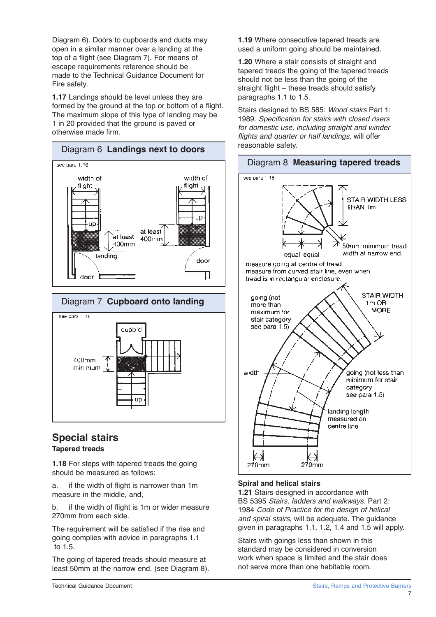Diagram 6). Doors to cupboards and ducts may open in a similar manner over a landing at the top of a flight (see Diagram 7). For means of escape requirements reference should be made to the Technical Guidance Document for Fire safety.

**1.17** Landings should be level unless they are formed by the ground at the top or bottom of a flight. The maximum slope of this type of landing may be 1 in 20 provided that the ground is paved or otherwise made firm.





#### **Special stairs Tapered treads**

**1.18** For steps with tapered treads the going should be measured as follows:

a. if the width of flight is narrower than 1m measure in the middle, and,

b. if the width of flight is 1m or wider measure 270mm from each side.

The requirement will be satisfied if the rise and going complies with advice in paragraphs 1.1 to 1.5.

The going of tapered treads should measure at least 50mm at the narrow end. (see Diagram 8).

**1.19** Where consecutive tapered treads are used a uniform going should be maintained.

**1.20** Where a stair consists of straight and tapered treads the going of the tapered treads should not be less than the going of the straight flight – these treads should satisfy paragraphs 1.1 to 1.5.

Stairs designed to BS 585: Wood stairs Part 1: 1989. Specification for stairs with closed risers for domestic use, including straight and winder flights and quarter or half landings, will offer reasonable safety.



#### Diagram 8 **Measuring tapered treads**

#### **Spiral and helical stairs**

**1.21** Stairs designed in accordance with BS 5395 Stairs, ladders and walkways. Part 2: 1984 Code of Practice for the design of helical and spiral stairs, will be adequate. The guidance given in paragraphs 1.1, 1.2, 1.4 and 1.5 will apply.

Stairs with goings less than shown in this standard may be considered in conversion work when space is limited and the stair does not serve more than one habitable room.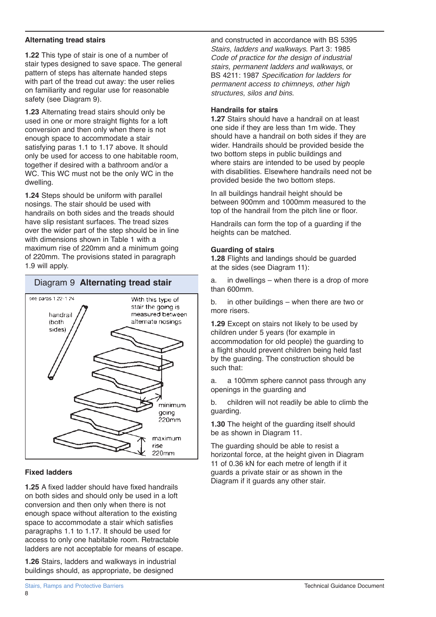#### **Alternating tread stairs**

**1.22** This type of stair is one of a number of stair types designed to save space. The general pattern of steps has alternate handed steps with part of the tread cut away: the user relies on familiarity and regular use for reasonable safety (see Diagram 9).

**1.23** Alternating tread stairs should only be used in one or more straight flights for a loft conversion and then only when there is not enough space to accommodate a stair satisfying paras 1.1 to 1.17 above. It should only be used for access to one habitable room, together if desired with a bathroom and/or a WC. This WC must not be the only WC in the dwelling.

**1.24** Steps should be uniform with parallel nosings. The stair should be used with handrails on both sides and the treads should have slip resistant surfaces. The tread sizes over the wider part of the step should be in line with dimensions shown in Table 1 with a maximum rise of 220mm and a minimum going of 220mm. The provisions stated in paragraph 1.9 will apply.

### Diagram 9 **Alternating tread stair**



#### **Fixed ladders**

**1.25** A fixed ladder should have fixed handrails on both sides and should only be used in a loft conversion and then only when there is not enough space without alteration to the existing space to accommodate a stair which satisfies paragraphs 1.1 to 1.17. It should be used for access to only one habitable room. Retractable ladders are not acceptable for means of escape.

**1.26** Stairs, ladders and walkways in industrial buildings should, as appropriate, be designed

and constructed in accordance with BS 5395 Stairs, ladders and walkways. Part 3: 1985 Code of practice for the design of industrial stairs, permanent ladders and walkways, or BS 4211: 1987 Specification for ladders for permanent access to chimneys, other high structures, silos and bins.

#### **Handrails for stairs**

**1.27** Stairs should have a handrail on at least one side if they are less than 1m wide. They should have a handrail on both sides if they are wider. Handrails should be provided beside the two bottom steps in public buildings and where stairs are intended to be used by people with disabilities. Elsewhere handrails need not be provided beside the two bottom steps.

In all buildings handrail height should be between 900mm and 1000mm measured to the top of the handrail from the pitch line or floor.

Handrails can form the top of a guarding if the heights can be matched.

#### **Guarding of stairs**

**1.28** Flights and landings should be guarded at the sides (see Diagram 11):

a. in dwellings – when there is a drop of more than 600mm.

b. in other buildings – when there are two or more risers.

**1.29** Except on stairs not likely to be used by children under 5 years (for example in accommodation for old people) the guarding to a flight should prevent children being held fast by the guarding. The construction should be such that:

a. a 100mm sphere cannot pass through any openings in the guarding and

b. children will not readily be able to climb the guarding.

**1.30** The height of the guarding itself should be as shown in Diagram 11.

The guarding should be able to resist a horizontal force, at the height given in Diagram 11 of 0.36 kN for each metre of length if it guards a private stair or as shown in the Diagram if it guards any other stair.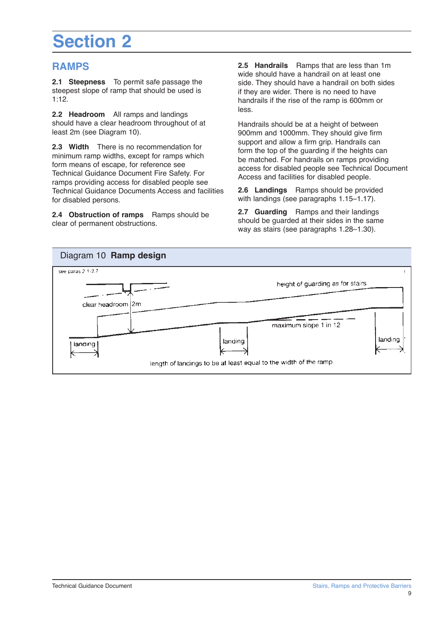# **Section 2**

### **RAMPS**

**2.1 Steepness** To permit safe passage the steepest slope of ramp that should be used is 1:12.

**2.2 Headroom** All ramps and landings should have a clear headroom throughout of at least 2m (see Diagram 10).

**2.3 Width** There is no recommendation for minimum ramp widths, except for ramps which form means of escape, for reference see Technical Guidance Document Fire Safety. For ramps providing access for disabled people see Technical Guidance Documents Access and facilities for disabled persons.

**2.4 Obstruction of ramps** Ramps should be clear of permanent obstructions.

**2.5 Handrails** Ramps that are less than 1m wide should have a handrail on at least one side. They should have a handrail on both sides if they are wider. There is no need to have handrails if the rise of the ramp is 600mm or less.

Handrails should be at a height of between 900mm and 1000mm. They should give firm support and allow a firm grip. Handrails can form the top of the guarding if the heights can be matched. For handrails on ramps providing access for disabled people see Technical Document Access and facilities for disabled people.

**2.6 Landings** Ramps should be provided with landings (see paragraphs 1.15–1.17).

**2.7 Guarding** Ramps and their landings should be guarded at their sides in the same way as stairs (see paragraphs 1.28–1.30).

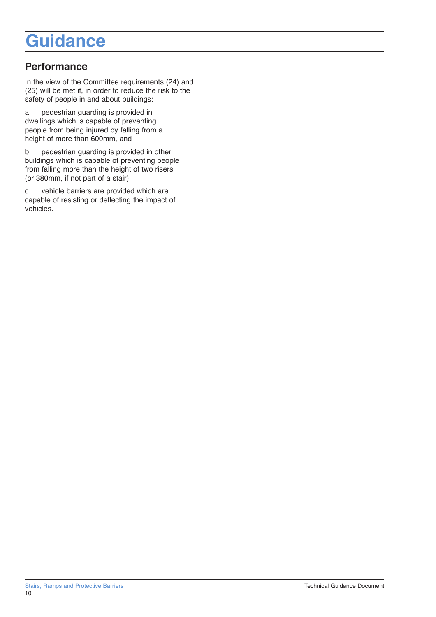## **Guidance**

## **Performance**

In the view of the Committee requirements (24) and (25) will be met if, in order to reduce the risk to the safety of people in and about buildings:

a. pedestrian guarding is provided in dwellings which is capable of preventing people from being injured by falling from a height of more than 600mm, and

b. pedestrian guarding is provided in other buildings which is capable of preventing people from falling more than the height of two risers (or 380mm, if not part of a stair)

c. vehicle barriers are provided which are capable of resisting or deflecting the impact of vehicles.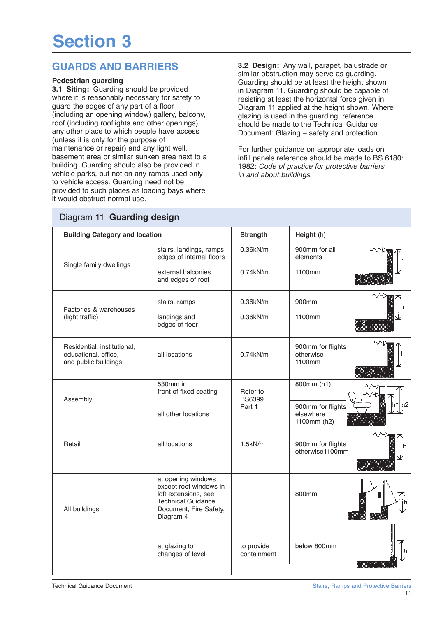# **Section 3**

### **GUARDS AND BARRIERS**

#### **Pedestrian guarding**

**3.1 Siting:** Guarding should be provided where it is reasonably necessary for safety to guard the edges of any part of a floor (including an opening window) gallery, balcony, roof (including rooflights and other openings), any other place to which people have access (unless it is only for the purpose of maintenance or repair) and any light well, basement area or similar sunken area next to a building. Guarding should also be provided in vehicle parks, but not on any ramps used only to vehicle access. Guarding need not be provided to such places as loading bays where it would obstruct normal use.

**3.2 Design:** Any wall, parapet, balustrade or similar obstruction may serve as guarding. Guarding should be at least the height shown in Diagram 11. Guarding should be capable of resisting at least the horizontal force given in Diagram 11 applied at the height shown. Where glazing is used in the guarding, reference should be made to the Technical Guidance Document: Glazing – safety and protection.

For further guidance on appropriate loads on infill panels reference should be made to BS 6180: 1982: Code of practice for protective barriers in and about buildings.

| <b>Building Category and location</b>                                       |                                                                                                                                          | <b>Strength</b>           | Height (h)                                    |
|-----------------------------------------------------------------------------|------------------------------------------------------------------------------------------------------------------------------------------|---------------------------|-----------------------------------------------|
| Single family dwellings                                                     | stairs, landings, ramps<br>edges of internal floors                                                                                      | 0.36kN/m                  | 900mm for all<br>elements                     |
|                                                                             | external balconies<br>and edges of roof                                                                                                  | 0.74kN/m                  | 1100mm                                        |
| Factories & warehouses<br>(light traffic)                                   | stairs, ramps                                                                                                                            | 0.36kN/m                  | ∧∧⊳<br>900mm<br>h                             |
|                                                                             | landings and<br>edges of floor                                                                                                           | 0.36kN/m                  | 1100mm                                        |
| Residential, institutional,<br>educational, office,<br>and public buildings | all locations                                                                                                                            | 0.74kN/m                  | 900mm for flights<br>otherwise<br>ħ<br>1100mm |
| Assembly                                                                    | 530mm in<br>front of fixed seating                                                                                                       | Refer to<br><b>BS6399</b> | 800mm (h1)                                    |
|                                                                             | all other locations                                                                                                                      | Part 1                    | 900mm for flights<br>elsewhere<br>1100mm (h2) |
| Retail                                                                      | all locations                                                                                                                            | 1.5kN/m                   | 900mm for flights<br>h<br>otherwise1100mm     |
| All buildings                                                               | at opening windows<br>except roof windows in<br>loft extensions, see<br><b>Technical Guidance</b><br>Document, Fire Safety,<br>Diagram 4 |                           | 800mm                                         |
|                                                                             | at glazing to<br>changes of level                                                                                                        | to provide<br>containment | below 800mm                                   |

## Diagram 11 **Guarding design**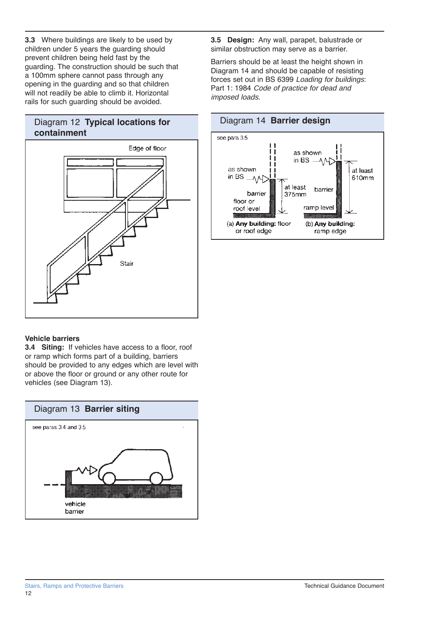**3.3** Where buildings are likely to be used by children under 5 years the guarding should prevent children being held fast by the guarding. The construction should be such that a 100mm sphere cannot pass through any opening in the guarding and so that children will not readily be able to climb it. Horizontal rails for such guarding should be avoided.





#### **Vehicle barriers**

**3.4 Siting:** If vehicles have access to a floor, roof or ramp which forms part of a building, barriers should be provided to any edges which are level with or above the floor or ground or any other route for vehicles (see Diagram 13).



**3.5 Design:** Any wall, parapet, balustrade or similar obstruction may serve as a barrier.

Barriers should be at least the height shown in Diagram 14 and should be capable of resisting forces set out in BS 6399 Loading for buildings: Part 1: 1984 Code of practice for dead and imposed loads.

#### Diagram 14 **Barrier design**

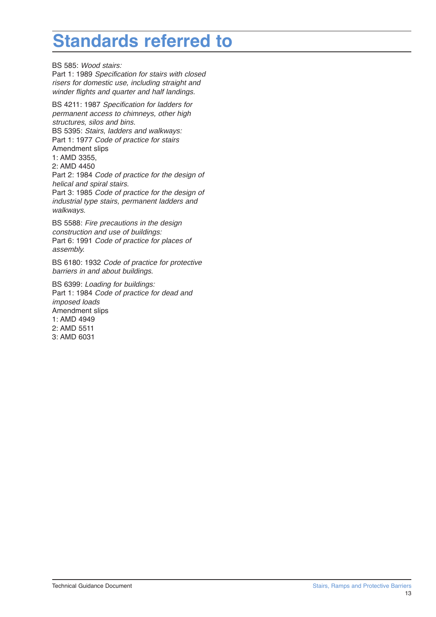## **Standards referred to**

BS 585: Wood stairs:

Part 1: 1989 Specification for stairs with closed risers for domestic use, including straight and winder flights and quarter and half landings.

BS 4211: 1987 Specification for ladders for permanent access to chimneys, other high structures, silos and bins. BS 5395: Stairs, ladders and walkways: Part 1: 1977 Code of practice for stairs Amendment slips 1: AMD 3355, 2: AMD 4450 Part 2: 1984 Code of practice for the design of helical and spiral stairs. Part 3: 1985 Code of practice for the design of industrial type stairs, permanent ladders and walkways.

BS 5588: Fire precautions in the design construction and use of buildings: Part 6: 1991 Code of practice for places of assembly.

BS 6180: 1932 Code of practice for protective barriers in and about buildings.

BS 6399: Loading for buildings: Part 1: 1984 Code of practice for dead and imposed loads Amendment slips 1: AMD 4949 2: AMD 5511 3: AMD 6031